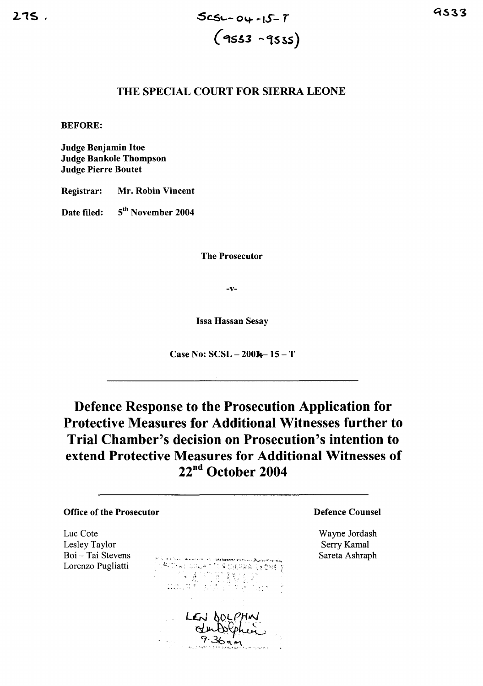## THE SPECIAL COURT FOR SIERRA LEONE

**BEFORE:** 

**Judge Benjamin Itoe Judge Bankole Thompson Judge Pierre Boutet** 

Registrar: Mr. Robin Vincent

5<sup>th</sup> November 2004 Date filed:

**The Prosecutor** 

 $-V-$ 

**Issa Hassan Sesay** 

Case No:  $SCSL - 2003 - 15 - T$ 

Defence Response to the Prosecution Application for **Protective Measures for Additional Witnesses further to** Trial Chamber's decision on Prosecution's intention to extend Protective Measures for Additional Witnesses of  $22<sup>nd</sup>$  October 2004

## **Office of the Prosecutor Defence Counsel** Luc Cote Wayne Jordash Lesley Taylor Serry Kamal Boi - Tai Stevens Sareta Ashraph Lorenzo Pugliatti LEN DOLP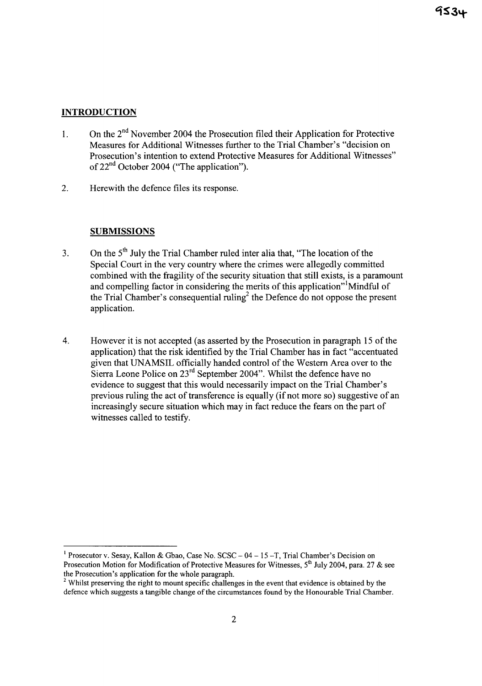## **INTRODUCTION**

- 1. On the  $2<sup>nd</sup>$  November 2004 the Prosecution filed their Application for Protective Measures for Additional Witnesses further to the Trial Chamber's "decision on Prosecution's intention to extend Protective Measures for Additional Witnesses" of  $22<sup>nd</sup>$  October 2004 ("The application").
- 2. Herewith the defence files its response.

## **SUBMISSIONS**

- 3. On the  $5<sup>th</sup>$  July the Trial Chamber ruled inter alia that, "The location of the Special Court in the very country where the crimes were allegedly committed combined with the fragility of the security situation that still exists, is a paramount and compelling factor in considering the merits of this application"<sup>1</sup>Mindful of the Trial Chamber's consequential ruling<sup>2</sup> the Defence do not oppose the present application.
- 4. However it is not accepted (as asserted by the Prosecution in paragraph 15 of the application) that the risk identified by the Trial Chamber has in fact "accentuated given that UNAMSIL officially handed control of the Western Area over to the Sierra Leone Police on 23<sup>rd</sup> September 2004". Whilst the defence have no evidence to suggest that this would necessarily impact on the Trial Chamber's previous ruling the act of transference is equally (if not more so) suggestive of an increasingly secure situation which may in fact reduce the fears on the part of witnesses called to testify.

<sup>&</sup>lt;sup>1</sup> Prosecutor v. Sesay, Kallon & Gbao, Case No. SCSC –  $04 - 15 - T$ , Trial Chamber's Decision on Prosecution Motion for Modification of Protective Measures for Witnesses,  $5<sup>th</sup>$  July 2004, para. 27 & see the Prosecution's application for the whole paragraph.

<sup>&</sup>lt;sup>2</sup> Whilst preserving the right to mount specific challenges in the event that evidence is obtained by the defence which suggests a tangible change of the circumstances found by the Honourable Trial Chamber.